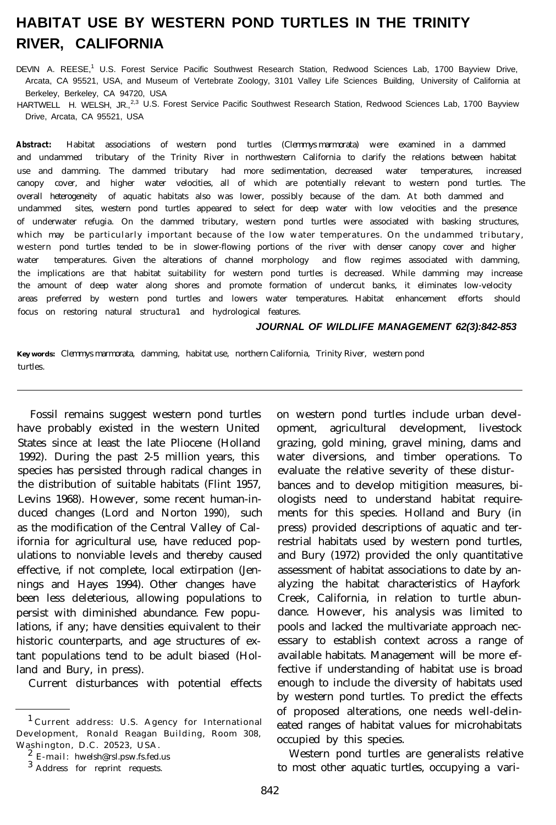# **HABITAT USE BY WESTERN POND TURTLES IN THE TRINITY RIVER, CALIFORNIA**

DEVIN A. REESE,<sup>1</sup> U.S. Forest Service Pacific Southwest Research Station, Redwood Sciences Lab, 1700 Bayview Drive, Arcata, CA 95521, USA, and Museum of Vertebrate Zoology, 3101 Valley Life Sciences Building, University of California at Berkeley, Berkeley, CA 94720, USA

HARTWELL H. WELSH, JR.,<sup>2,3</sup> U.S. Forest Service Pacific Southwest Research Station, Redwood Sciences Lab, 1700 Bayview Drive, Arcata, CA 95521, USA

*Abstract:* Habitat associations of western pond turtles (*Clemmys marmorata*) were examined in a dammed and undammed tributary of the Trinity River in northwestern California to clarify the relations between habitat use and damming. The dammed tributary had more sedimentation, decreased water temperatures, increased canopy cover, and higher water velocities, all of which are potentially relevant to western pond turtles. The overall heterogeneity of aquatic habitats also was lower, possibly because of the dam. At both dammed and undammed sites, western pond turtles appeared to select for deep water with low velocities and the presence of underwater refugia. On the dammed tributary, western pond turtles were associated with basking structures, which may be particularly important because of the low water temperatures. On the undammed tributary, western pond turtles tended to be in slower-flowing portions of the river with denser canopy cover and higher water temperatures. Given the alterations of channel morphology and flow regimes associated with damming, the implications are that habitat suitability for western pond turtles is decreased. While damming may increase the amount of deep water along shores and promote formation of undercut banks, it eliminates low-velocity areas preferred by western pond turtles and lowers water temperatures. Habitat enhancement efforts should focus on restoring natural structura1 and hydrological features.

#### *JOURNAL OF WILDLIFE MANAGEMENT 62(3):842-853*

*Key words: Clemmys marmorata,* damming, habitat use, northern California, Trinity River, western pond turtles.

Fossil remains suggest western pond turtles have probably existed in the western United States since at least the late Pliocene (Holland 1992). During the past 2-5 million years, this species has persisted through radical changes in the distribution of suitable habitats (Flint 1957, Levins 1968). However, some recent human-induced changes (Lord and Norton 1990), such as the modification of the Central Valley of California for agricultural use, have reduced populations to nonviable levels and thereby caused effective, if not complete, local extirpation (Jennings and Hayes 1994). Other changes have been less deleterious, allowing populations to persist with diminished abundance. Few populations, if any; have densities equivalent to their historic counterparts, and age structures of extant populations tend to be adult biased (Holland and Bury, in press).

Current disturbances with potential effects

on western pond turtles include urban development, agricultural development, livestock grazing, gold mining, gravel mining, dams and water diversions, and timber operations. To evaluate the relative severity of these disturbances and to develop mitigition measures, biologists need to understand habitat requirements for this species. Holland and Bury (in press) provided descriptions of aquatic and terrestrial habitats used by western pond turtles, and Bury (1972) provided the only quantitative assessment of habitat associations to date by analyzing the habitat characteristics of Hayfork Creek, California, in relation to turtle abundance. However, his analysis was limited to pools and lacked the multivariate approach necessary to establish context across a range of available habitats. Management will be more effective if understanding of habitat use is broad enough to include the diversity of habitats used by western pond turtles. To predict the effects of proposed alterations, one needs well-delineated ranges of habitat values for microhabitats occupied by this species.

Western pond turtles are generalists relative to most other aquatic turtles, occupying a vari-

<sup>1</sup> Current address: U.S. Agency for International Development, Ronald Reagan Building, Room 308, Washington, D.C. 20523, USA.<br> $2$  E-mail: hwelsh@rsl.psw.fs.fed.us 3 Address for reprint requests.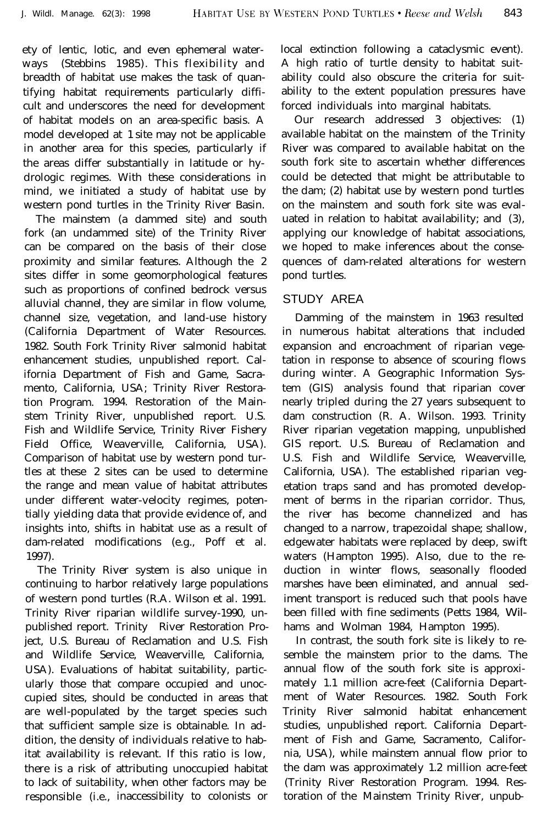ety of lentic, lotic, and even ephemeral waterways (Stebbins 1985). This flexibility and breadth of habitat use makes the task of quantifying habitat requirements particularly difficult and underscores the need for development of habitat models on an area-specific basis. A model developed at 1 site may not be applicable in another area for this species, particularly if the areas differ substantially in latitude or hydrologic regimes. With these considerations in mind, we initiated a study of habitat use by western pond turtles in the Trinity River Basin.

The mainstem (a dammed site) and south fork (an undammed site) of the Trinity River can be compared on the basis of their close proximity and similar features. Although the 2 sites differ in some geomorphological features such as proportions of confined bedrock versus alluvial channel, they are similar in flow volume, channel size, vegetation, and land-use history (California Department of Water Resources. 1982. South Fork Trinity River salmonid habitat enhancement studies, unpublished report. California Department of Fish and Game, Sacramento, California, USA; Trinity River Restoration Program. 1994. Restoration of the Mainstem Trinity River, unpublished report. U.S. Fish and Wildlife Service, Trinity River Fishery Field Office, Weaverville, California, USA). Comparison of habitat use by western pond turtles at these 2 sites can be used to determine the range and mean value of habitat attributes under different water-velocity regimes, potentially yielding data that provide evidence of, and insights into, shifts in habitat use as a result of dam-related modifications (e.g., Poff et al. 1997).

The Trinity River system is also unique in continuing to harbor relatively large populations of western pond turtles (R.A. Wilson et al. 1991. Trinity River riparian wildlife survey-1990, unpublished report. Trinity River Restoration Project, U.S. Bureau of Reclamation and U.S. Fish and Wildlife Service, Weaverville, California, USA). Evaluations of habitat suitability, particularly those that compare occupied and unoccupied sites, should be conducted in areas that are well-populated by the target species such that sufficient sample size is obtainable. In addition, the density of individuals relative to habitat availability is relevant. If this ratio is low, there is a risk of attributing unoccupied habitat to lack of suitability, when other factors may be responsible (i.e., inaccessibility to colonists or local extinction following a cataclysmic event). A high ratio of turtle density to habitat suitability could also obscure the criteria for suitability to the extent population pressures have forced individuals into marginal habitats.

Our research addressed 3 objectives: (1) available habitat on the mainstem of the Trinity River was compared to available habitat on the south fork site to ascertain whether differences could be detected that might be attributable to the dam; (2) habitat use by western pond turtles on the mainstem and south fork site was evaluated in relation to habitat availability; and (3), applying our knowledge of habitat associations, we hoped to make inferences about the consequences of dam-related alterations for western pond turtles.

## STUDY AREA

Damming of the mainstem in 1963 resulted in numerous habitat alterations that included expansion and encroachment of riparian vegetation in response to absence of scouring flows during winter. A Geographic Information System (GIS) analysis found that riparian cover nearly tripled during the 27 years subsequent to dam construction (R. A. Wilson. 1993. Trinity River riparian vegetation mapping, unpublished GIS report. U.S. Bureau of Reclamation and U.S. Fish and Wildlife Service, Weaverville, California, USA). The established riparian vegetation traps sand and has promoted development of berms in the riparian corridor. Thus, the river has become channelized and has changed to a narrow, trapezoidal shape; shallow, edgewater habitats were replaced by deep, swift waters (Hampton 1995). Also, due to the reduction in winter flows, seasonally flooded marshes have been eliminated, and annual sediment transport is reduced such that pools have been filled with fine sediments (Petts 1984, Wilhams and Wolman 1984, Hampton 1995).

In contrast, the south fork site is likely to resemble the mainstem prior to the dams. The annual flow of the south fork site is approximately 1.1 million acre-feet (California Department of Water Resources. 1982. South Fork Trinity River salmonid habitat enhancement studies, unpublished report. California Department of Fish and Game, Sacramento, California, USA), while mainstem annual flow prior to the dam was approximately 1.2 million acre-feet (Trinity River Restoration Program. 1994. Restoration of the Mainstem Trinity River, unpub-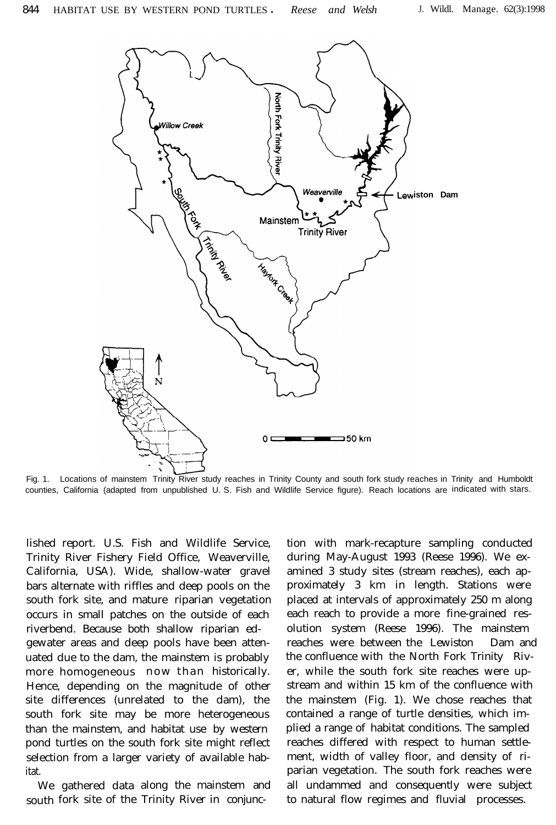

Fig. 1. Locations of mainstem Trinity River study reaches in Trinity County and south fork study reaches in Trinity and Humboldt counties, California (adapted from unpublished U. S. Fish and Wildlife Service figure). Reach locations are indicated with stars.

lished report. U.S. Fish and Wildlife Service, Trinity River Fishery Field Office, Weaverville, California, USA). Wide, shallow-water gravel bars alternate with riffles and deep pools on the south fork site, and mature riparian vegetation occurs in small patches on the outside of each riverbend. Because both shallow riparian ed-

gewater areas and deep pools have been attenuated due to the dam, the mainstem is probably more homogeneous now than historicaIly. Hence, depending on the magnitude of other site differences (unrelated to the dam), the south fork site may be more heterogeneous than the mainstem, and habitat use by western pond turtles on the south fork site might reflect selection from a larger variety of available habitat.

We gathered data along the mainstem and south fork site of the Trinity River in conjunc-

tion with mark-recapture sampling conducted during May-August 1993 (Reese 1996). We examined 3 study sites (stream reaches), each approximately 3 km in length. Stations were placed at intervals of approximately 250 m along each reach to provide a more fine-grained resolution system (Reese 1996). The mainstem reaches were between the Lewiston Dam and the confluence with the North Fork Trinity River, while the south fork site reaches were upstream and within 15 km of the confluence with the mainstem (Fig. 1). We chose reaches that contained a range of turtle densities, which implied a range of habitat conditions. The sampled reaches differed with respect to human settlement, width of valley floor, and density of riparian vegetation. The south fork reaches were all undammed and consequently were subject to natural flow regimes and fluvial processes.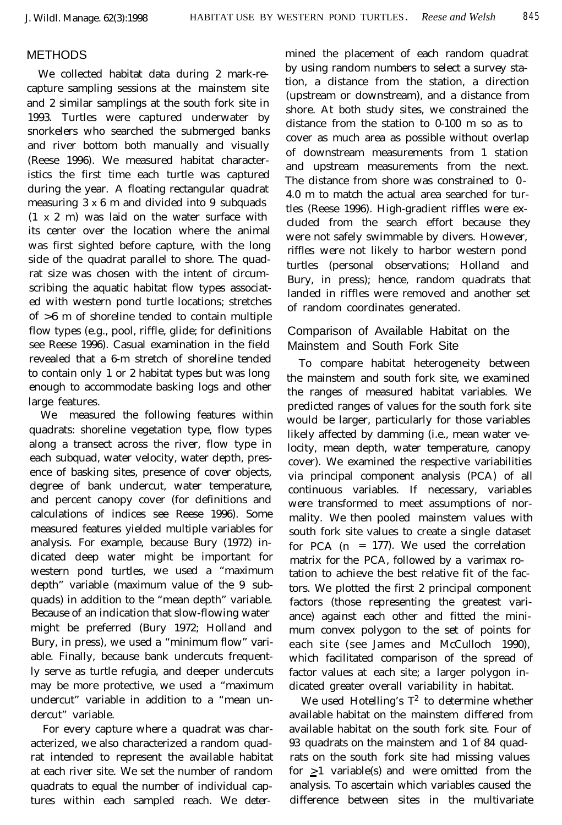### METHODS

We collected habitat data during 2 mark-recapture sampling sessions at the mainstem site and 2 similar samplings at the south fork site in 1993. Turtles were captured underwater by snorkelers who searched the submerged banks and river bottom both manually and visually (Reese 1996). We measured habitat characteristics the first time each turtle was captured during the year. A floating rectangular quadrat measuring 3 x 6 m and divided into 9 subquads (1 x 2 m) was laid on the water surface with its center over the location where the animal was first sighted before capture, with the long side of the quadrat parallel to shore. The quadrat size was chosen with the intent of circumscribing the aquatic habitat flow types associated with western pond turtle locations; stretches of >6 m of shoreline tended to contain multiple flow types (e.g., pool, riffle, glide; for definitions see Reese 1996). Casual examination in the field revealed that a 6-m stretch of shoreline tended to contain only 1 or 2 habitat types but was long enough to accommodate basking logs and other large features.

We measured the following features within quadrats: shoreline vegetation type, flow types along a transect across the river, flow type in each subquad, water velocity, water depth, presence of basking sites, presence of cover objects, degree of bank undercut, water temperature, and percent canopy cover (for definitions and calculations of indices see Reese 1996). Some measured features yielded multiple variables for analysis. For example, because Bury (1972) indicated deep water might be important for western pond turtles, we used a "maximum depth" variable (maximum value of the 9 subquads) in addition to the "mean depth" variable. Because of an indication that slow-flowing water might be preferred (Bury 1972; Holland and Bury, in press), we used a "minimum flow" variable. Finally, because bank undercuts frequently serve as turtle refugia, and deeper undercuts may be more protective, we used a "maximum undercut" variable in addition to a "mean undercut" variable.

For every capture where a quadrat was characterized, we also characterized a random quadrat intended to represent the available habitat at each river site. We set the number of random quadrats to equal the number of individual captures within each sampled reach. We determined the placement of each random quadrat by using random numbers to select a survey station, a distance from the station, a direction (upstream or downstream), and a distance from shore. At both study sites, we constrained the distance from the station to 0-100 m so as to cover as much area as possible without overlap of downstream measurements from 1 station and upstream measurements from the next. The distance from shore was constrained to 0-4.0 m to match the actual area searched for turtles (Reese 1996). High-gradient riffles were excluded from the search effort because they were not safely swimmable by divers. However, riffles were not likely to harbor western pond turtles (personal observations; Holland and Bury, in press); hence, random quadrats that landed in riffles were removed and another set of random coordinates generated.

## Comparison of Available Habitat on the Mainstem and South Fork Site

To compare habitat heterogeneity between the mainstem and south fork site, we examined the ranges of measured habitat variables. We predicted ranges of values for the south fork site would be larger, particularly for those variables likely affected by damming (i.e., mean water velocity, mean depth, water temperature, canopy cover). We examined the respective variabilities via principal component analysis (PCA) of all continuous variables. If necessary, variables were transformed to meet assumptions of normality. We then pooled mainstem values with south fork site values to create a single dataset for PCA (*n* = 177). We used the correlation matrix for the PCA, followed by a varimax rotation to achieve the best relative fit of the factors. We plotted the first 2 principal component factors (those representing the greatest variance) against each other and fitted the minimum convex polygon to the set of points for each site (see James and McCulloch 1990), which facilitated comparison of the spread of factor values at each site; a larger polygon indicated greater overall variability in habitat.

We used Hotelling's  $T^2$  to determine whether available habitat on the mainstem differed from available habitat on the south fork site. Four of 93 quadrats on the mainstem and 1 of 84 quadrats on the south fork site had missing values for  $\geq$ 1 variable(s) and were omitted from the analysis. To ascertain which variables caused the difference between sites in the multivariate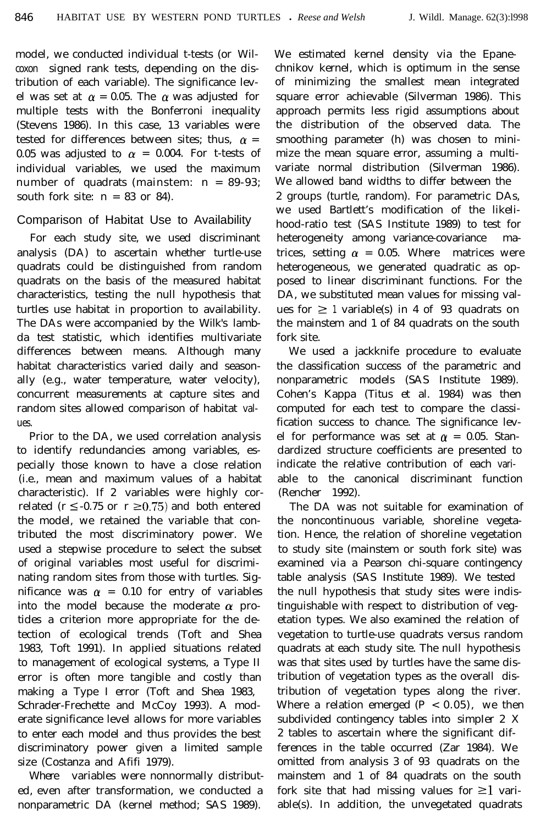model, we conducted individual *t*-tests (or Wilcoxon signed rank tests, depending on the distribution of each variable). The significance level was set at  $\alpha = 0.05$ . The  $\alpha$  was adjusted for multiple tests with the Bonferroni inequality (Stevens 1986). In this case, 13 variables were tested for differences between sites; thus,  $\alpha$  = 0.05 was adjusted to  $\alpha = 0.004$ . For *t*-tests of individual variables, we used the maximum number of quadrats (mainstem:  $n = 89-93$ ; south fork site:  $n = 83$  or 84).

#### Comparison of Habitat Use to Availability

For each study site, we used discriminant analysis (DA) to ascertain whether turtle-use quadrats could be distinguished from random quadrats on the basis of the measured habitat characteristics, testing the null hypothesis that turtles use habitat in proportion to availability. The DAs were accompanied by the Wilk's lambda test statistic, which identifies multivariate differences between means. Although many habitat characteristics varied daily and seasonally (e.g., water temperature, water velocity), concurrent measurements at capture sites and random sites allowed comparison of habitat values.

Prior to the DA, we used correlation analysis to identify redundancies among variables, especially those known to have a close relation (i.e., mean and maximum values of a habitat characteristic). If 2 variables were highly correlated ( $r \leq -0.75$  or  $r \geq 0.75$ ) and both entered the model, we retained the variable that contributed the most discriminatory power. We used a stepwise procedure to select the subset of original variables most useful for discriminating random sites from those with turtles. Significance was  $\alpha = 0.10$  for entry of variables into the model because the moderate  $\alpha$  protides a criterion more appropriate for the detection of ecological trends (Toft and Shea 1983, Toft 1991). In applied situations related to management of ecological systems, a Type II error is often more tangible and costly than making a Type I error (Toft and Shea 1983, Schrader-Frechette and McCoy 1993). A moderate significance level allows for more variables to enter each model and thus provides the best discriminatory power given a limited sample size (Costanza and Afifi 1979).

Where variables were nonnormally distributed, even after transformation, we conducted a nonparametric DA (kernel method; SAS 1989).

We estimated kernel density via the Epanechnikov kernel, which is optimum in the sense of minimizing the smallest mean integrated square error achievable (Silverman 1986). This approach permits less rigid assumptions about the distribution of the observed data. The smoothing parameter (h) was chosen to minimize the mean square error, assuming a multivariate normal distribution (Silverman 1986). We allowed band widths to differ between the 2 groups (turtle, random). For parametric DAs, we used Bartlett's modification of the likelihood-ratio test (SAS Institute 1989) to test for heterogeneity among variance-covariance matrices, setting  $\alpha = 0.05$ . Where matrices were heterogeneous, we generated quadratic as opposed to linear discriminant functions. For the DA, we substituted mean values for missing values for  $\geq 1$  variable(s) in 4 of 93 quadrats on the mainstem and 1 of 84 quadrats on the south fork site.

We used a jackknife procedure to evaluate the classification success of the parametric and nonparametric models (SAS Institute 1989). Cohen's Kappa (Titus et al. 1984) was then computed for each test to compare the classification success to chance. The significance level for performance was set at  $\alpha$  = 0.05. Standardized structure coefficients are presented to indicate the relative contribution of each variable to the canonical discriminant function (Rencher 1992).

The DA was not suitable for examination of the noncontinuous variable, shoreline vegetation. Hence, the relation of shoreline vegetation to study site (mainstem or south fork site) was examined via a Pearson chi-square contingency table analysis (SAS Institute 1989). We tested the null hypothesis that study sites were indistinguishable with respect to distribution of vegetation types. We also examined the relation of vegetation to turtle-use quadrats versus random quadrats at each study site. The null hypothesis was that sites used by turtles have the same distribution of vegetation types as the overall distribution of vegetation types along the river. Where a relation emerged  $(P < 0.05)$ , we then subdivided contingency tables into simpIer 2 X 2 tables to ascertain where the significant differences in the table occurred (Zar 1984). We omitted from analysis 3 of 93 quadrats on the mainstem and 1 of 84 quadrats on the south fork site that had missing values for  $\geq 1$  variable(s). In addition, the unvegetated quadrats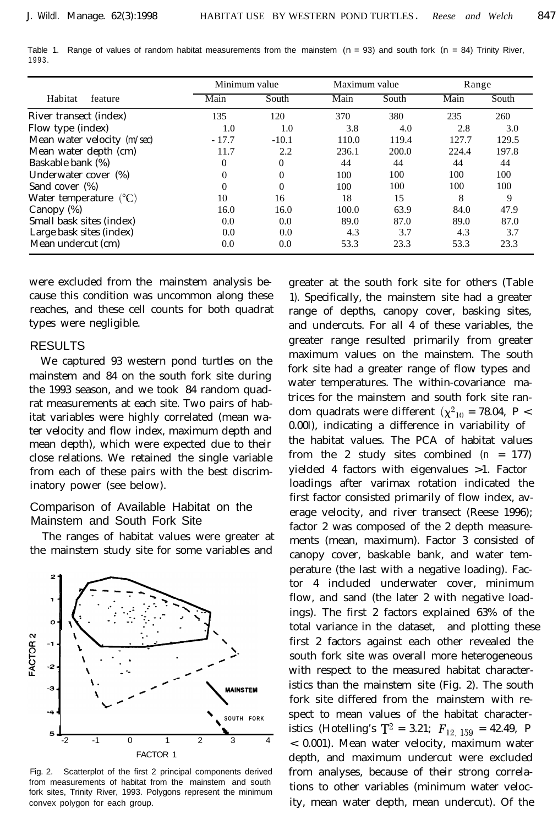Table 1. Range of values of random habitat measurements from the mainstem  $(n = 93)$  and south fork  $(n = 84)$  Trinity River, 1993.

|                                 | Minimum value |          | Maximum value |       | Range |       |
|---------------------------------|---------------|----------|---------------|-------|-------|-------|
| Habitat<br>feature              | Main          | South    | Main          | South | Main  | South |
| River transect (index)          | 135           | 120      | 370           | 380   | 235   | 260   |
| Flow type (index)               | 1.0           | 1.0      | 3.8           | 4.0   | 2.8   | 3.0   |
| Mean water velocity (m/sec)     | $-17.7$       | $-10.1$  | 110.0         | 119.4 | 127.7 | 129.5 |
| Mean water depth (cm)           | 11.7          | 2.2      | 236.1         | 200.0 | 224.4 | 197.8 |
| Baskable bank (%)               | $\Omega$      | $\Omega$ | 44            | 44    | 44    | 44    |
| Underwater cover (%)            | 0             | 0        | 100           | 100   | 100   | 100   |
| Sand cover (%)                  | 0             | 0        | 100           | 100   | 100   | 100   |
| Water temperature $(^{\circ}C)$ | 10            | 16       | 18            | 15    | 8     | 9     |
| Canopy $(\%)$                   | 16.0          | 16.0     | 100.0         | 63.9  | 84.0  | 47.9  |
| Small bask sites (index)        | 0.0           | 0.0      | 89.0          | 87.0  | 89.0  | 87.0  |
| Large bask sites (index)        | 0.0           | 0.0      | 4.3           | 3.7   | 4.3   | 3.7   |
| Mean undercut (cm)              | 0.0           | 0.0      | 53.3          | 23.3  | 53.3  | 23.3  |

were excluded from the mainstem analysis because this condition was uncommon along these reaches, and these cell counts for both quadrat types were negligible.

#### RESULTS

We captured 93 western pond turtles on the mainstem and 84 on the south fork site during the 1993 season, and we took 84 random quadrat measurements at each site. Two pairs of habitat variables were highly correlated (mean water velocity and flow index, maximum depth and mean depth), which were expected due to their close relations. We retained the single variable from each of these pairs with the best discriminatory power (see below).

### Comparison of Available Habitat on the Mainstem and South Fork Site

The ranges of habitat values were greater at the mainstem study site for some variables and



Fig. 2. Scatterplot of the first 2 principal components derived from measurements of habitat from the mainstem and south fork sites, Trinity River, 1993. Polygons represent the minimum convex polygon for each group.

greater at the south fork site for others (Table 1). Specifically, the mainstem site had a greater range of depths, canopy cover, basking sites, and undercuts. For all 4 of these variables, the greater range resulted primarily from greater maximum values on the mainstem. The south fork site had a greater range of flow types and water temperatures. The within-covariance matrices for the mainstem and south fork site random quadrats were different  $(\chi^2_{10} = 78.04, P <$ 0.00l), indicating a difference in variability of the habitat values. The PCA of habitat values from the 2 study sites combined *(n* = 177) yielded 4 factors with eigenvalues >1. Factor loadings after varimax rotation indicated the first factor consisted primarily of flow index, average velocity, and river transect (Reese 1996); factor 2 was composed of the 2 depth measurements (mean, maximum). Factor 3 consisted of canopy cover, baskable bank, and water temperature (the last with a negative loading). Factor 4 included underwater cover, minimum flow, and sand (the later 2 with negative loadings). The first 2 factors explained 63% of the total variance in the dataset, and plotting these first 2 factors against each other revealed the south fork site was overall more heterogeneous with respect to the measured habitat characteristics than the mainstem site (Fig. 2). The south fork site differed from the mainstem with respect to mean values of the habitat characteristics (Hotelling's  $T^2 = 3.21$ ;  $F_{12, 159} = 42.49$ , *P* < 0.001). Mean water velocity, maximum water depth, and maximum undercut were excluded from analyses, because of their strong correlations to other variables (minimum water velocity, mean water depth, mean undercut). Of the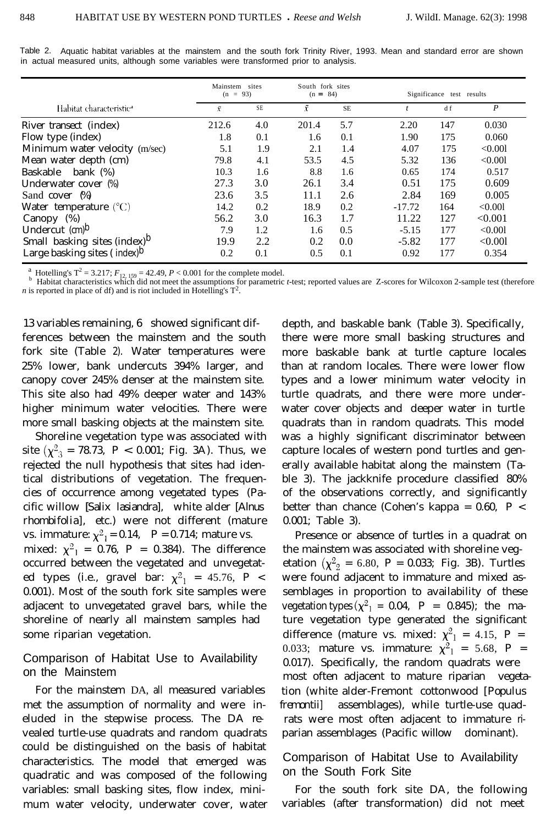|                                          | Mainstem<br>sites<br>$(n = 93)$ |           | South fork sites<br>$(n = 84)$ |           | Significance test results |     |                  |
|------------------------------------------|---------------------------------|-----------|--------------------------------|-----------|---------------------------|-----|------------------|
| Habitat characteristic <sup>4</sup>      | $\bar{x}$                       | <b>SE</b> | Ñ                              | <b>SE</b> |                           | d f | $\boldsymbol{P}$ |
| River transect (index)                   | 212.6                           | 4.0       | 201.4                          | 5.7       | 2.20                      | 147 | 0.030            |
| Flow type (index)                        | 1.8                             | 0.1       | 1.6                            | 0.1       | 1.90                      | 175 | 0.060            |
| Minimum water velocity (m/sec)           | 5.1                             | 1.9       | 2.1                            | 1.4       | 4.07                      | 175 | < 0.001          |
| Mean water depth (cm)                    | 79.8                            | 4.1       | 53.5                           | 4.5       | 5.32                      | 136 | < 0.001          |
| <b>Baskable</b><br>bank $(\%)$           | 10.3                            | 1.6       | 8.8                            | 1.6       | 0.65                      | 174 | 0.517            |
| Underwater cover (%)                     | 27.3                            | 3.0       | 26.1                           | 3.4       | 0.51                      | 175 | 0.609            |
| Sand cover $\%$                          | 23.6                            | 3.5       | 11.1                           | 2.6       | 2.84                      | 169 | 0.005            |
| Water temperature $({}^{\circ}C)$        | 14.2                            | 0.2       | 18.9                           | 0.2       | $-17.72$                  | 164 | <0.001           |
| Canopy (%)                               | 56.2                            | 3.0       | 16.3                           | 1.7       | 11.22                     | 127 | < 0.001          |
| Undercut (cm) <sup>D</sup>               | 7.9                             | 1.2       | 1.6                            | 0.5       | $-5.15$                   | 177 | < 0.001          |
| Small basking sites (index) <sup>D</sup> | 19.9                            | 2.2       | 0.2                            | 0.0       | $-5.82$                   | 177 | < 0.001          |
| Large basking sites (index) <sup>b</sup> | 0.2                             | 0.1       | 0.5                            | 0.1       | 0.92                      | 177 | 0.354            |

Table 2. Aquatic habitat variables at the mainstem and the south fork Trinity River, 1993. Mean and standard error are shown in actual measured units, although some variables were transformed prior to analysis.

<sup>a</sup> Hotelling's T<sup>2</sup> = 3.217;  $F_{12,159}$  = 42.49,  $P < 0.001$  for the complete model.

<sup>b</sup> Habitat characteristics which did not meet the assumptions for parametric *t*-test; reported values are Z-scores for Wilcoxon 2-sample test (therefore *n* is reported in place of df) and is riot included in Hotelling's  $T^2$ .

13 variables remaining, 6 showed significant differences between the mainstem and the south fork site (Table 2). Water temperatures were 25% lower, bank undercuts 394% larger, and canopy cover 245% denser at the mainstem site. This site also had 49% deeper water and 143% higher minimum water velocities. There were more small basking objects at the mainstem site.

Shoreline vegetation type was associated with site  $(\chi^2_{3} = 78.73, P < 0.001;$  Fig. 3A). Thus, we rejected the null hypothesis that sites had identical distributions of vegetation. The frequencies of occurrence among vegetated types (Pacific willow [*Salix lasiandra*], white alder [*Alnus rhombifolia*], etc.) were not different (mature vs. immature:  $\chi^2$ <sub>1</sub> = 0.14, *P* = 0.714; mature vs.

mixed:  $\chi^2$ <sub>1</sub> = 0.76, *P* = 0.384). The difference occurred between the vegetated and unvegetated types (i.e., gravel bar:  $\chi^2$ <sub>1</sub> = 45.76, *P* < 0.001). Most of the south fork site samples were adjacent to unvegetated gravel bars, while the shoreline of nearly all mainstem samples had some riparian vegetation.

#### Comparison of Habitat Use to Availability on the Mainstem

met the assumption of normality and were in- *fremontii*] assemblages), while turtle-use quadeluded in the stepwise process. The DA re- rats were most often adjacent to immature rivealed turtle-use quadrats and random quadrats parian assemblages (Pacific willow dominant). could be distinguished on the basis of habitat characteristics. The model that emerged was Comparison of Habitat Use to Availability<br>quadratic and was composed of the following on the South Fork Site quadratic and was composed of the following variables: small basking sites, flow index, mini- For the south fork site DA, the following

depth, and baskable bank (Table 3). Specifically, there were more small basking structures and more baskable bank at turtle capture locales than at random locales. There were lower flow types and a lower minimum water velocity in turtle quadrats, and there were more underwater cover objects and deeper water in turtle quadrats than in random quadrats. This model was a highly significant discriminator between capture locales of western pond turtles and generally available habitat along the mainstem (Table 3). The jackknife procedure classified 80% of the observations correctly, and significantly better than chance (Cohen's kappa = 0.60, *P <* 0.001; Table 3).

For the mainstem DA, all measured variables tion (white alder-Fremont cottonwood [*Populus* Presence or absence of turtles in a quadrat on the mainstem was associated with shoreline vegetation ( $\chi^2_{2}$  = 6.80, *P* = 0.033; Fig. 3B). Turtles were found adjacent to immature and mixed assemblages in proportion to availability of these vegetation types  $(\chi^2)$  = 0.04,  $P = 0.845$ ; the mature vegetation type generated the significant difference (mature vs. mixed:  $\chi^2$ <sub>1</sub> = 4.15, *P* = 0.033; mature vs. immature:  $\chi^2$ <sub>1</sub> = 5.68, *P* = 0.017). Specifically, the random quadrats were most often adjacent to mature riparian vegeta-

mum water velocity, underwater cover, water variables (after transformation) did not meet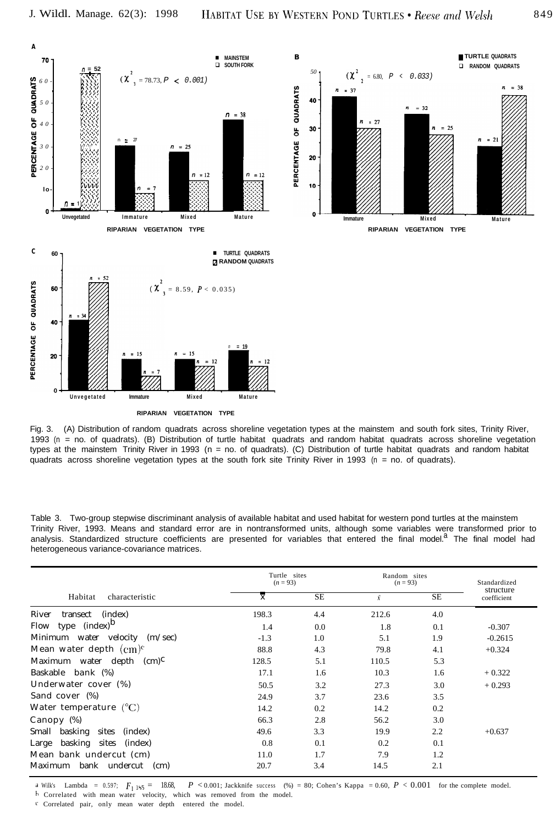**0**



**RIPARIAN VEGETATION TYPE**

**Unvegetated Immature Mixed Mature**

Fig. 3. (A) Distribution of random quadrats across shoreline vegetation types at the mainstem and south fork sites, Trinity River, 1993 (n = no. of quadrats). (B) Distribution of turtle habitat quadrats and random habitat quadrats across shoreline vegetation types at the mainstem Trinity River in 1993 (n = no. of quadrats). (C) Distribution of turtle habitat quadrats and random habitat quadrats across shoreline vegetation types at the south fork site Trinity River in 1993 (n = no. of quadrats).

Table 3. Two-group stepwise discriminant analysis of available habitat and used habitat for western pond turtles at the mainstem Trinity River, 1993. Means and standard error are in nontransformed units, although some variables were transformed prior to analysis. Standardized structure coefficients are presented for variables that entered the final model.<sup>a</sup> The final model had heterogeneous variance-covariance matrices.

|                                   | Turtle sites<br>$(n = 93)$ |           | Random sites<br>$(n = 93)$ |           | Standardized             |
|-----------------------------------|----------------------------|-----------|----------------------------|-----------|--------------------------|
| Habitat<br>characteristic         | X                          | <b>SE</b> | Ÿ                          | <b>SE</b> | structure<br>coefficient |
| River<br>(index)<br>transect      | 198.3                      | 4.4       | 212.6                      | 4.0       |                          |
| Flow type (index) <sup>b</sup>    | 1.4                        | 0.0       | 1.8                        | 0.1       | $-0.307$                 |
| Minimum water velocity<br>(m/sec) | $-1.3$                     | 1.0       | 5.1                        | 1.9       | $-0.2615$                |
| Mean water depth $(cm)^c$         | 88.8                       | 4.3       | 79.8                       | 4.1       | $+0.324$                 |
| Maximum water depth $(cm)^{C}$    | 128.5                      | 5.1       | 110.5                      | 5.3       |                          |
| Baskable bank (%)                 | 17.1                       | 1.6       | 10.3                       | 1.6       | $+0.322$                 |
| Underwater cover (%)              | 50.5                       | 3.2       | 27.3                       | 3.0       | $+0.293$                 |
| Sand cover (%)                    | 24.9                       | 3.7       | 23.6                       | 3.5       |                          |
| Water temperature $(C)$           | 14.2                       | 0.2       | 14.2                       | 0.2       |                          |
| Canopy (%)                        | 66.3                       | 2.8       | 56.2                       | 3.0       |                          |
| Small basking sites<br>(index)    | 49.6                       | 3.3       | 19.9                       | 2.2       | $+0.637$                 |
| Large basking sites<br>(index)    | 0.8                        | 0.1       | 0.2                        | 0.1       |                          |
| Mean bank undercut (cm)           | 11.0                       | 1.7       | 7.9                        | 1.2       |                          |
| Maximum<br>bank undercut (cm)     | 20.7                       | 3.4       | 14.5                       | 2.1       |                          |

<sup>a</sup> Wilk's Lambda = 0.597;  $F_{1.155} = 18.68$ ,  $P < 0.001$ ; Jackknife success (%) = 80; Cohen's Kappa = 0.60,  $P < 0.001$  for the complete model. <sup>h</sup> Correlated with mean water velocity, which was removed from the model.

c Correlated pair, only mean water depth entered the model.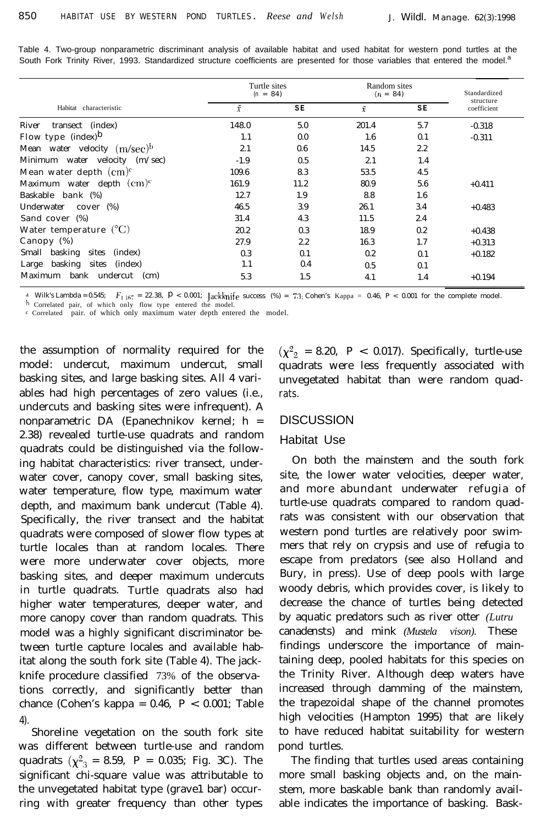Table 4. Two-group nonparametric discriminant analysis of available habitat and used habitat for western pond turtles at the South Fork Trinity River, 1993. Standardized structure coefficients are presented for those variables that entered the model.<sup>a</sup>

|                                            | Turtle sites<br>$(n = 84)$ |      | Random sites<br>$(n = 84)$ |                  | Standardized<br>structure |
|--------------------------------------------|----------------------------|------|----------------------------|------------------|---------------------------|
| Habitat characteristic                     | Ī                          | SE   | ĩ                          | SE.              | coefficient               |
| River<br>transect (index)                  | 148.0                      | 5.0  | 201.4                      | 5.7              | $-0.318$                  |
| Flow type $(index)b$                       | 1.1                        | 0.0  | 1.6                        | 0.1              | $-0.311$                  |
| Mean water velocity $(m/sec)^b$            | 2.1                        | 0.6  | 14.5                       | 2.2              |                           |
| Minimum water velocity (m/sec)             | $-1.9$                     | 0.5  | 2.1                        | 1.4              |                           |
| Mean water depth $(cm)^c$                  | 109.6                      | 8.3  | 53.5                       | 4.5              |                           |
| Maximum water depth (cm) <sup>c</sup>      | 161.9                      | 11.2 | 80.9                       | 5.6              | $+0.411$                  |
| Baskable bank (%)                          | 12.7                       | 1.9  | 8.8                        | $1.6\phantom{0}$ |                           |
| Underwater cover (%)                       | 46.5                       | 3.9  | 26.1                       | 3.4              | $+0.483$                  |
| Sand cover (%)                             | 31.4                       | 4.3  | 11.5                       | 2.4              |                           |
| Water temperature $(C)$                    | 20.2                       | 0.3  | 18.9                       | 0.2              | $+0.438$                  |
| Canopy (%)                                 | 27.9                       | 2.2  | 16.3                       | 1.7              | $+0.313$                  |
| Small basking sites (index)                | 0.3                        | 0.1  | 0.2                        | 0.1              | $+0.182$                  |
| Large basking sites (index)                | 1.1                        | 0.4  | 0.5                        | 0.1              |                           |
| Maximum bank undercut<br>(c <sub>m</sub> ) | 5.3                        | 1.5  | 4.1                        | 1.4              | $+0.194$                  |

<sup>4</sup> Wilk's Lambda = 0.545;  $F_{1.167}$  = 22.38,  $P < 0.001$ ; Jackknife success (%) = 73; Cohen's Kappa = 0.46,  $P < 0.001$  for the complete model.

h Correlated pair, of which only flow type entered the model.

<sup>c</sup> Correlated pair. of which only maximum water depth entered the model.

the assumption of normality required for the model: undercut, maximum undercut, small basking sites, and large basking sites. All 4 variables had high percentages of zero values (i.e., undercuts and basking sites were infrequent). A nonparametric DA (Epanechnikov kernel; h = 2.38) revealed turtle-use quadrats and random quadrats could be distinguished via the following habitat characteristics: river transect, underwater cover, canopy cover, small basking sites, water temperature, flow type, maximum water depth, and maximum bank undercut (Table 4). Specifically, the river transect and the habitat quadrats were composed of slower flow types at turtle locales than at random locales. There were more underwater cover objects, more basking sites, and deeper maximum undercuts in turtle quadrats. Turtle quadrats also had higher water temperatures, deeper water, and more canopy cover than random quadrats. This model was a highly significant discriminator between turtle capture locales and available habitat along the south fork site (Table 4). The jackknife procedure classified 73% of the observations correctly, and significantly better than chance (Cohen's kappa = 0.46, *P* < 0.001; Table 4).

Shoreline vegetation on the south fork site was different between turtle-use and random quadrats  $(\chi^2_{3} = 8.59, P = 0.035; Fig. 3C)$ . The significant chi-square value was attributable to the unvegetated habitat type (grave1 bar) occurring with greater frequency than other types  $(\chi^2_{2} = 8.20, P < 0.017)$ . Specifically, turtle-use quadrats were less frequently associated with unvegetated habitat than were random quadrats.

#### **DISCUSSION**

#### Habitat Use

On both the mainstem and the south fork site, the lower water velocities, deeper water, and more abundant underwater refugia of turtle-use quadrats compared to random quadrats was consistent with our observation that western pond turtles are relatively poor swimmers that rely on crypsis and use of refugia to escape from predators (see also Holland and Bury, in press). Use of deep pools with large woody debris, which provides cover, is Iikely to decrease the chance of turtles being detected by aquatic predators such as river otter *(Lutru canadensts)* and mink *(Mustela vison).* These findings underscore the importance of maintaining deep, pooled habitats for this species on the Trinity River. Although deep waters have increased through damming of the mainstem, the trapezoidal shape of the channel promotes high velocities (Hampton 1995) that are likely to have reduced habitat suitability for western pond turtles.

The finding that turtles used areas containing more small basking objects and, on the mainstem, more baskable bank than randomly available indicates the importance of basking. Bask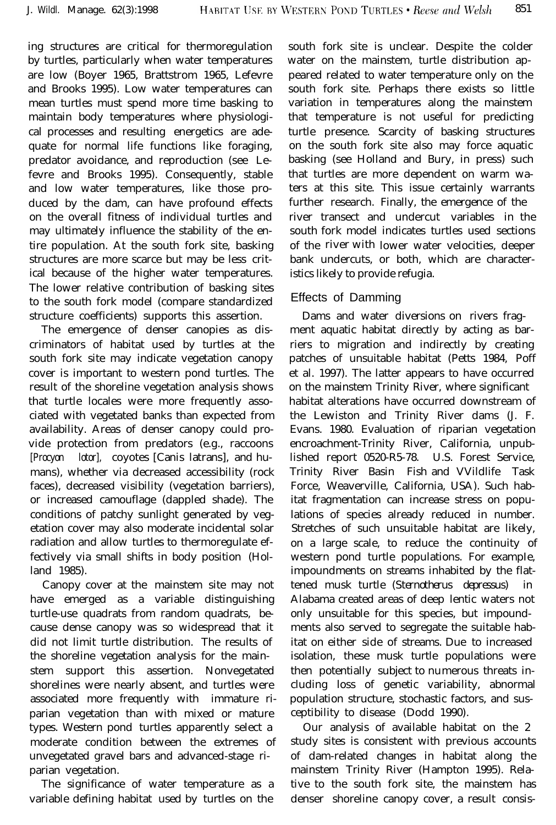ing structures are critical for thermoregulation by turtles, particularly when water temperatures are low (Boyer 1965, Brattstrom 1965, Lefevre and Brooks 1995). Low water temperatures can mean turtles must spend more time basking to maintain body temperatures where physiological processes and resulting energetics are adequate for normal life functions like foraging, predator avoidance, and reproduction (see Lefevre and Brooks 1995). Consequently, stable and low water temperatures, like those produced by the dam, can have profound effects on the overall fitness of individual turtles and may ultimately influence the stability of the entire population. At the south fork site, basking structures are more scarce but may be less critical because of the higher water temperatures. The lower relative contribution of basking sites to the south fork model (compare standardized structure coefficients) supports this assertion.

The emergence of denser canopies as discriminators of habitat used by turtles at the south fork site may indicate vegetation canopy cover is important to western pond turtles. The result of the shoreline vegetation analysis shows that turtle locales were more frequently associated with vegetated banks than expected from availability. Areas of denser canopy could provide protection from predators (e.g., raccoons *[Procyon lotor],* coyotes *[Canis latrans],* and humans), whether via decreased accessibility (rock faces), decreased visibility (vegetation barriers), or increased camouflage (dappled shade). The conditions of patchy sunlight generated by vegetation cover may also moderate incidental solar radiation and allow turtles to thermoregulate effectively via small shifts in body position (Holland 1985).

Canopy cover at the mainstem site may not have emerged as a variable distinguishing turtle-use quadrats from random quadrats, because dense canopy was so widespread that it did not limit turtle distribution. The results of the shoreline vegetation anaIysis for the mainstem support this assertion. Nonvegetated shorelines were nearly absent, and turtles were associated more frequently with immature riparian vegetation than with mixed or mature types. Western pond turtles apparently select a moderate condition between the extremes of unvegetated gravel bars and advanced-stage riparian vegetation.

The significance of water temperature as a variable defining habitat used by turtles on the

south fork site is unclear. Despite the colder water on the mainstem, turtle distribution appeared related to water temperature only on the south fork site. Perhaps there exists so little variation in temperatures along the mainstem that temperature is not useful for predicting turtle presence. Scarcity of basking structures on the south fork site also may force aquatic basking (see Holland and Bury, in press) such that turtles are more dependent on warm waters at this site. This issue certainly warrants further research. Finally, the emergence of the river transect and undercut variables in the south fork model indicates turtles used sections of the river with lower water velocities, deeper bank undercuts, or both, which are characteristics likely to provide refugia.

## Effects of Damming

Dams and water diversions on rivers fragment aquatic habitat directly by acting as barriers to migration and indirectly by creating patches of unsuitable habitat (Petts 1984, Poff et al. 1997). The latter appears to have occurred on the mainstem Trinity River, where significant habitat alterations have occurred downstream of the Lewiston and Trinity River dams (J. F. Evans. 1980. Evaluation of riparian vegetation encroachment-Trinity River, California, unpublished report 0520-R5-78. U.S. Forest Service, Trinity River Basin Fish and VVildlife Task Force, Weaverville, California, USA). Such habitat fragmentation can increase stress on populations of species already reduced in number. Stretches of such unsuitable habitat are likely, on a large scale, to reduce the continuity of western pond turtle populations. For exampIe, impoundments on streams inhabited by the flattened musk turtle *(Sternotherus depressus)* in Alabama created areas of deep lentic waters not only unsuitable for this species, but impoundments also served to segregate the suitable habitat on either side of streams. Due to increased isolation, these musk turtle populations were then potentially subject to numerous threats including loss of genetic variability, abnormal population structure, stochastic factors, and susceptibility to disease (Dodd 1990).

Our analysis of available habitat on the 2 study sites is consistent with previous accounts of dam-related changes in habitat along the mainstem Trinity River (Hampton 1995). Relative to the south fork site, the mainstem has denser shoreline canopy cover, a result consis-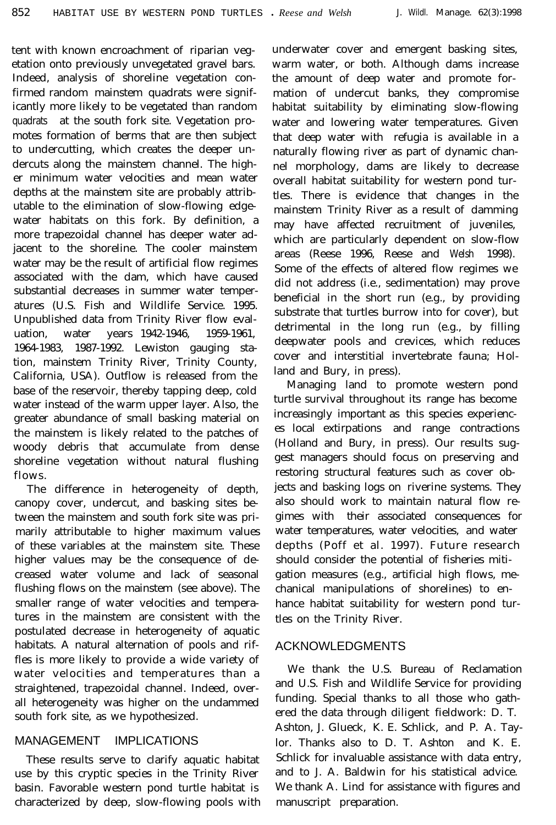tent with known encroachment of riparian vegetation onto previously unvegetated gravel bars. Indeed, analysis of shoreline vegetation confirmed random mainstem quadrats were significantly more likely to be vegetated than random quadrats at the south fork site. Vegetation promotes formation of berms that are then subject to undercutting, which creates the deeper undercuts along the mainstem channel. The higher minimum water velocities and mean water depths at the mainstem site are probably attributable to the elimination of slow-flowing edgewater habitats on this fork. By definition, a more trapezoidal channel has deeper water adjacent to the shoreline. The cooler mainstem water may be the result of artificial flow regimes associated with the dam, which have caused substantial decreases in summer water temperatures (U.S. Fish and Wildlife Service. 1995. Unpublished data from Trinity River flow evaluation, water years 1942-1946, 1959-1961, 1964-1983, 1987-1992. Lewiston gauging station, mainstem Trinity River, Trinity County, California, USA). Outflow is released from the base of the reservoir, thereby tapping deep, cold water instead of the warm upper layer. Also, the greater abundance of small basking material on the mainstem is likely related to the patches of woody debris that accumulate from dense shoreline vegetation without natural flushing flows.

The difference in heterogeneity of depth, canopy cover, undercut, and basking sites between the mainstem and south fork site was primarily attributable to higher maximum values of these variables at the mainstem site. These higher values may be the consequence of decreased water volume and lack of seasonal flushing flows on the mainstem (see above). The smaller range of water velocities and temperatures in the mainstem are consistent with the postulated decrease in heterogeneity of aquatic habitats. A natural alternation of pools and riffles is more likely to provide a wide variety of water velocities and temperatures than a straightened, trapezoidal channel. Indeed, overall heterogeneity was higher on the undammed south fork site, as we hypothesized.

#### MANAGEMENT IMPLICATIONS

These results serve to clarify aquatic habitat use by this cryptic species in the Trinity River basin. Favorable western pond turtle habitat is characterized by deep, slow-flowing pools with underwater cover and emergent basking sites, warm water, or both. Although dams increase the amount of deep water and promote formation of undercut banks, they compromise habitat suitability by eliminating slow-flowing water and lowering water temperatures. Given that deep water with refugia is available in a naturally flowing river as part of dynamic channel morphology, dams are likely to decrease overall habitat suitability for western pond turtles. There is evidence that changes in the mainstem Trinity River as a result of damming may have affected recruitment of juveniles, which are particularly dependent on slow-flow areas (Reese 1996, Reese and Welsh 1998). Some of the effects of altered flow regimes we did not address (i.e., sedimentation) may prove beneficial in the short run (e.g., by providing substrate that turtles burrow into for cover), but detrimental in the long run (e.g., by filling deepwater pools and crevices, which reduces cover and interstitial invertebrate fauna; Holland and Bury, in press).

Managing land to promote western pond turtle survival throughout its range has become increasingly important as this species experiences local extirpations and range contractions (Holland and Bury, in press). Our results suggest managers should focus on preserving and restoring structural features such as cover objects and basking logs on riverine systems. They also should work to maintain natural flow regimes with their associated consequences for water temperatures, water velocities, and water depths (Poff et al. 1997). Future research should consider the potential of fisheries mitigation measures (e.g., artificial high flows, mechanical manipulations of shorelines) to enhance habitat suitability for western pond turtles on the Trinity River.

## ACKNOWLEDGMENTS

We thank the U.S. Bureau of Reclamation and U.S. Fish and Wildlife Service for providing funding. Special thanks to all those who gathered the data through diligent fieldwork: D. T. Ashton, J. Glueck, K. E. Schlick, and P. A. Taylor. Thanks also to D. T. Ashton and K. E. Schlick for invaluable assistance with data entry, and to J. A. Baldwin for his statistical advice. We thank A. Lind for assistance with figures and manuscript preparation.